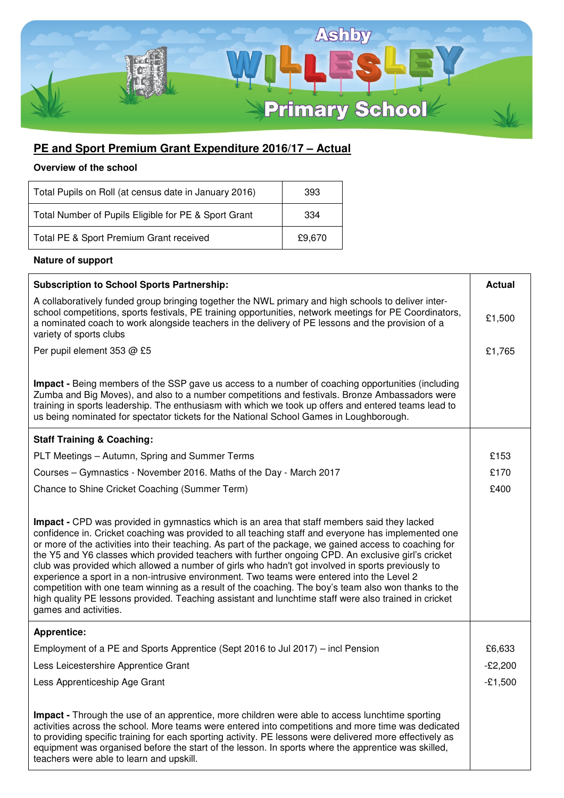

## **PE and Sport Premium Grant Expenditure 2016/17 – Actual**

## **Overview of the school**

| Total Pupils on Roll (at census date in January 2016) | 393    |
|-------------------------------------------------------|--------|
| Total Number of Pupils Eligible for PE & Sport Grant  | 334    |
| Total PE & Sport Premium Grant received               | £9.670 |

## **Nature of support**

| <b>Subscription to School Sports Partnership:</b>                                                                                                                                                                                                                                                                                                                                                                                                                                                                                                                                                                                                                                                                                                                                                                                                                  | <b>Actual</b> |
|--------------------------------------------------------------------------------------------------------------------------------------------------------------------------------------------------------------------------------------------------------------------------------------------------------------------------------------------------------------------------------------------------------------------------------------------------------------------------------------------------------------------------------------------------------------------------------------------------------------------------------------------------------------------------------------------------------------------------------------------------------------------------------------------------------------------------------------------------------------------|---------------|
| A collaboratively funded group bringing together the NWL primary and high schools to deliver inter-<br>school competitions, sports festivals, PE training opportunities, network meetings for PE Coordinators,<br>a nominated coach to work alongside teachers in the delivery of PE lessons and the provision of a<br>variety of sports clubs                                                                                                                                                                                                                                                                                                                                                                                                                                                                                                                     | £1,500        |
| Per pupil element 353 @ £5                                                                                                                                                                                                                                                                                                                                                                                                                                                                                                                                                                                                                                                                                                                                                                                                                                         | £1,765        |
| Impact - Being members of the SSP gave us access to a number of coaching opportunities (including                                                                                                                                                                                                                                                                                                                                                                                                                                                                                                                                                                                                                                                                                                                                                                  |               |
| Zumba and Big Moves), and also to a number competitions and festivals. Bronze Ambassadors were<br>training in sports leadership. The enthusiasm with which we took up offers and entered teams lead to<br>us being nominated for spectator tickets for the National School Games in Loughborough.                                                                                                                                                                                                                                                                                                                                                                                                                                                                                                                                                                  |               |
| <b>Staff Training &amp; Coaching:</b>                                                                                                                                                                                                                                                                                                                                                                                                                                                                                                                                                                                                                                                                                                                                                                                                                              |               |
| PLT Meetings - Autumn, Spring and Summer Terms                                                                                                                                                                                                                                                                                                                                                                                                                                                                                                                                                                                                                                                                                                                                                                                                                     | £153          |
| Courses - Gymnastics - November 2016. Maths of the Day - March 2017                                                                                                                                                                                                                                                                                                                                                                                                                                                                                                                                                                                                                                                                                                                                                                                                | £170          |
| Chance to Shine Cricket Coaching (Summer Term)                                                                                                                                                                                                                                                                                                                                                                                                                                                                                                                                                                                                                                                                                                                                                                                                                     | £400          |
| Impact - CPD was provided in gymnastics which is an area that staff members said they lacked<br>confidence in. Cricket coaching was provided to all teaching staff and everyone has implemented one<br>or more of the activities into their teaching. As part of the package, we gained access to coaching for<br>the Y5 and Y6 classes which provided teachers with further ongoing CPD. An exclusive girl's cricket<br>club was provided which allowed a number of girls who hadn't got involved in sports previously to<br>experience a sport in a non-intrusive environment. Two teams were entered into the Level 2<br>competition with one team winning as a result of the coaching. The boy's team also won thanks to the<br>high quality PE lessons provided. Teaching assistant and lunchtime staff were also trained in cricket<br>games and activities. |               |
| <b>Apprentice:</b>                                                                                                                                                                                                                                                                                                                                                                                                                                                                                                                                                                                                                                                                                                                                                                                                                                                 |               |
| Employment of a PE and Sports Apprentice (Sept 2016 to Jul 2017) – incl Pension                                                                                                                                                                                                                                                                                                                                                                                                                                                                                                                                                                                                                                                                                                                                                                                    | £6,633        |
| Less Leicestershire Apprentice Grant                                                                                                                                                                                                                                                                                                                                                                                                                                                                                                                                                                                                                                                                                                                                                                                                                               | $-E2,200$     |
| Less Apprenticeship Age Grant                                                                                                                                                                                                                                                                                                                                                                                                                                                                                                                                                                                                                                                                                                                                                                                                                                      | $-£1,500$     |
| Impact - Through the use of an apprentice, more children were able to access lunchtime sporting<br>activities across the school. More teams were entered into competitions and more time was dedicated<br>to providing specific training for each sporting activity. PE lessons were delivered more effectively as<br>equipment was organised before the start of the lesson. In sports where the apprentice was skilled,<br>teachers were able to learn and upskill.                                                                                                                                                                                                                                                                                                                                                                                              |               |